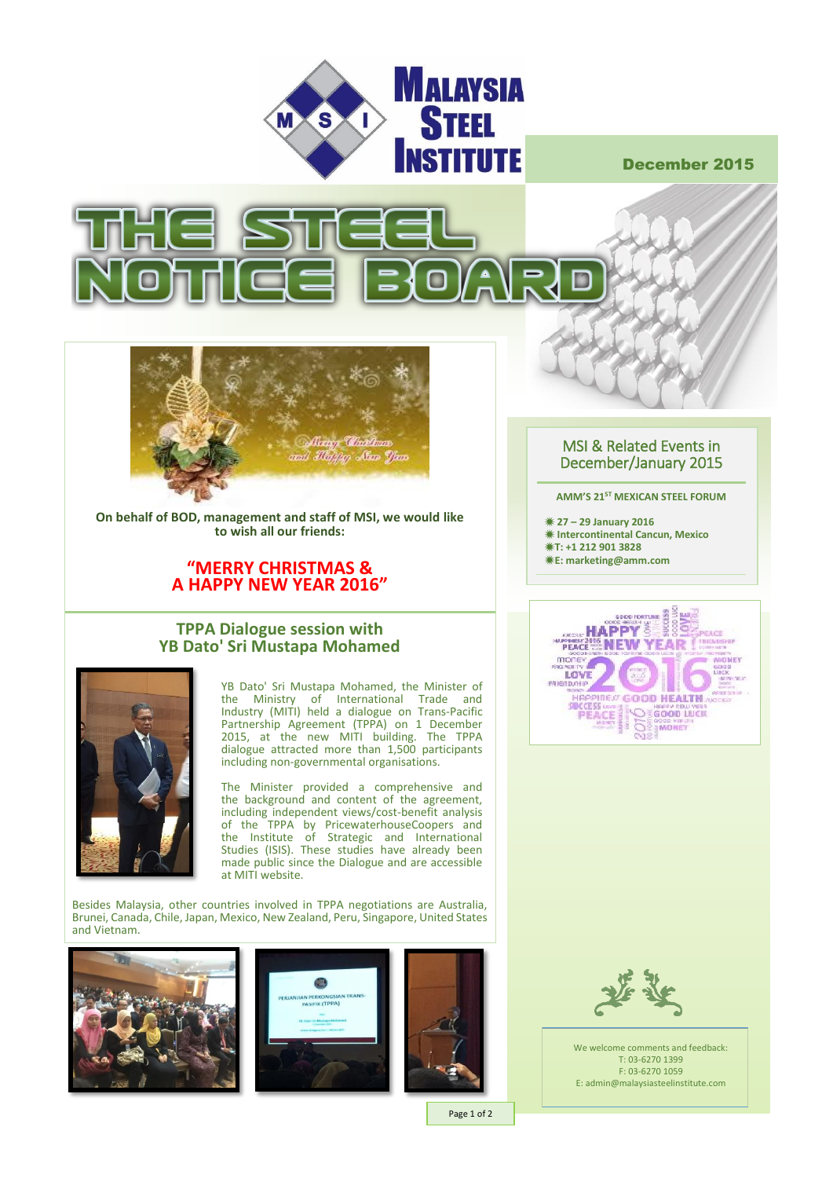

December 2015





**On behalf of BOD, management and staff of MSI, we would like to wish all our friends:**

## **"MERRY CHRISTMAS & A HAPPY NEW YEAR 2016"**

### **TPPA Dialogue session with YB Dato' Sri Mustapa Mohamed**



YB Dato' Sri Mustapa Mohamed, the Minister of the Ministry of International Trade and Industry (MITI) held a dialogue on Trans-Pacific Partnership Agreement (TPPA) on 1 December 2015, at the new MITI building. The TPPA dialogue attracted more than 1,500 participants including non-governmental organisations.

The Minister provided a comprehensive and the background and content of the agreement, including independent views/cost-benefit analysis of the TPPA by PricewaterhouseCoopers and the Institute of Strategic and International Studies (ISIS). These studies have already been made public since the Dialogue and are accessible at MITI website.

Besides Malaysia, other countries involved in TPPA negotiations are Australia, Brunei, Canada, Chile, Japan, Mexico, New Zealand, Peru, Singapore, United States and Vietnam.







Page 1 of 2

## MSI & Related Events in December/January 2015

#### **AMM'S 21ST MEXICAN STEEL FORUM**

 **27 – 29 January 2016 Intercontinental Cancun, Mexico T: +1 212 901 3828 E: marketing@amm.com**





We welcome comments and feedback: T: 03-6270 1399 F: 03-6270 1059 E: admin@malaysiasteelinstitute.com